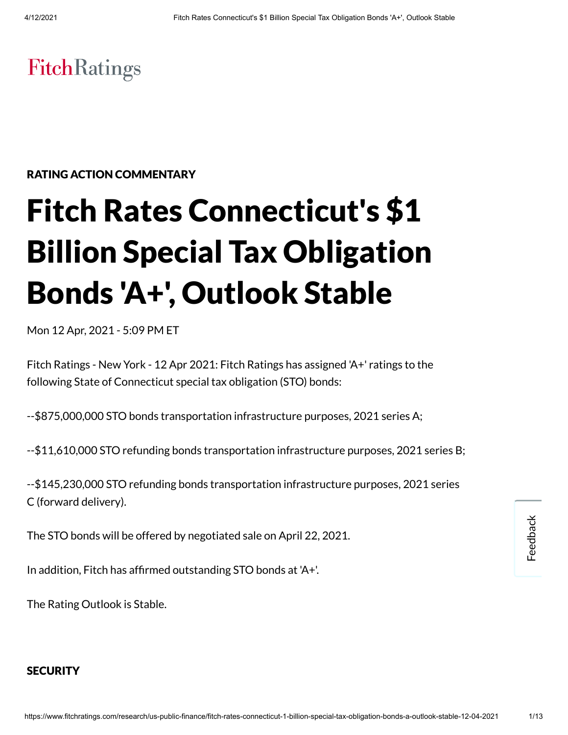# **FitchRatings**

# RATING ACTION COMMENTARY

# Fitch Rates Connecticut's \$1 Billion Special Tax Obligation Bonds 'A+' , Outlook Stable

Mon 12 Apr, 2021 - 5:09 PM ET

Fitch Ratings - New York - 12 Apr 2021: Fitch Ratings has assigned 'A+' ratings to the following State of Connecticut special tax obligation (STO) bonds:

--\$875,000,000 STO bonds transportation infrastructure purposes, 2021 series A;

--\$11,610,000 STO refunding bonds transportation infrastructure purposes, 2021 series B;

--\$145,230,000 STO refunding bonds transportation infrastructure purposes, 2021 series C (forward delivery).

The STO bonds will be offered by negotiated sale on April 22, 2021.

In addition, Fitch has affirmed outstanding STO bonds at 'A+'.

The Rating Outlook is Stable.

# **SECURITY**

Feedback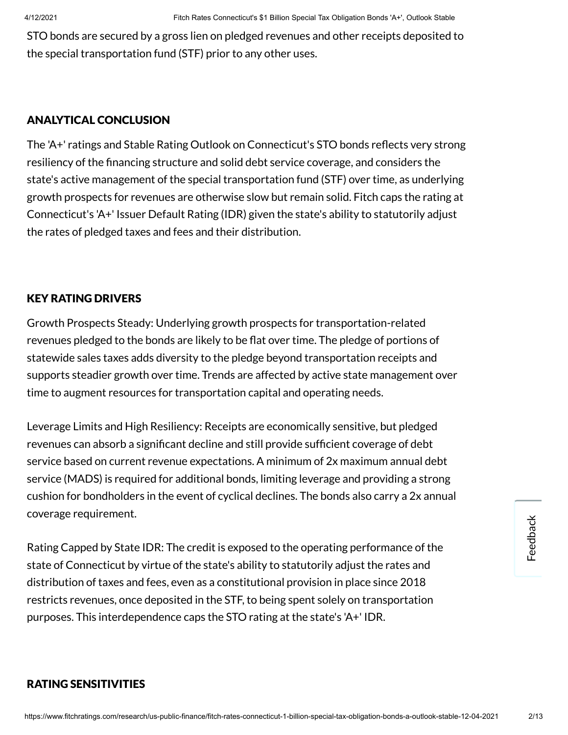STO bonds are secured by a gross lien on pledged revenues and other receipts deposited to the special transportation fund (STF) prior to any other uses.

#### ANALYTICAL CONCLUSION

The 'A+' ratings and Stable Rating Outlook on Connecticut's STO bonds reflects very strong resiliency of the financing structure and solid debt service coverage, and considers the state's active management of the special transportation fund (STF) over time, as underlying growth prospects for revenues are otherwise slow but remain solid. Fitch caps the rating at Connecticut's 'A+' Issuer Default Rating (IDR) given the state's ability to statutorily adjust the rates of pledged taxes and fees and their distribution.

# KEY RATING DRIVERS

Growth Prospects Steady: Underlying growth prospects for transportation-related revenues pledged to the bonds are likely to be flat over time. The pledge of portions of statewide sales taxes adds diversity to the pledge beyond transportation receipts and supports steadier growth over time. Trends are affected by active state management over time to augment resources for transportation capital and operating needs.

Leverage Limits and High Resiliency: Receipts are economically sensitive, but pledged revenues can absorb a significant decline and still provide sufficient coverage of debt service based on current revenue expectations. A minimum of 2x maximum annual debt service (MADS) is required for additional bonds, limiting leverage and providing a strong cushion for bondholders in the event of cyclical declines. The bonds also carry a 2x annual coverage requirement.

Rating Capped by State IDR: The credit is exposed to the operating performance of the state of Connecticut by virtue of the state's ability to statutorily adjust the rates and distribution of taxes and fees, even as a constitutional provision in place since 2018 restricts revenues, once deposited in the STF, to being spent solely on transportation purposes. This interdependence caps the STO rating at the state's 'A+' IDR.

# RATING SENSITIVITIES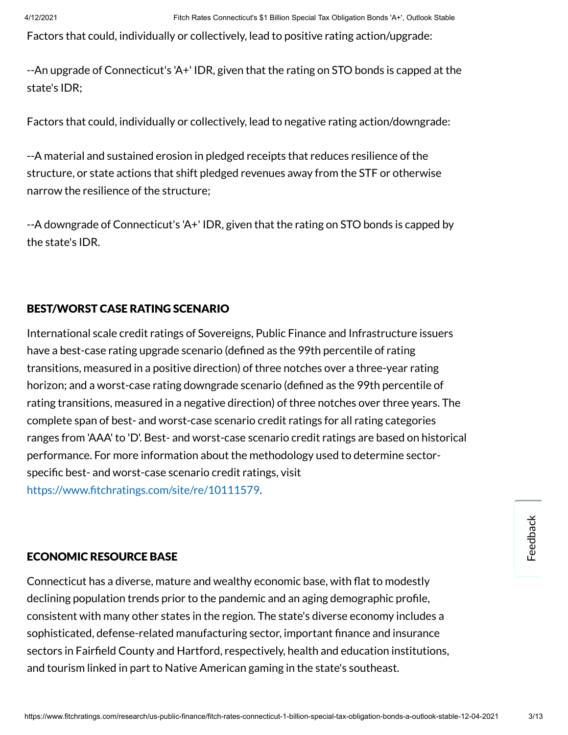Factors that could, individually or collectively, lead to positive rating action/upgrade:

--An upgrade of Connecticut's 'A+' IDR, given that the rating on STO bonds is capped at the state's IDR;

Factors that could, individually or collectively, lead to negative rating action/downgrade:

--A material and sustained erosion in pledged receipts that reduces resilience of the structure, or state actions that shift pledged revenues away from the STF or otherwise narrow the resilience of the structure;

--A downgrade of Connecticut's 'A+' IDR, given that the rating on STO bonds is capped by the state's IDR.

# BEST/WORST CASE RATING SCENARIO

International scale credit ratings of Sovereigns, Public Finance and Infrastructure issuers have a best-case rating upgrade scenario (defined as the 99th percentile of rating transitions, measured in a positive direction) of three notches over a three-year rating horizon; and a worst-case rating downgrade scenario (defined as the 99th percentile of rating transitions, measured in a negative direction) of three notches over three years. The complete span of best- and worst-case scenario credit ratings for all rating categories ranges from 'AAA' to 'D'. Best- and worst-case scenario credit ratings are based on historical performance. For more information about the methodology used to determine sectorspecific best- and worst-case scenario credit ratings, visit https://www.fitchratings.com/site/re/10111579.

# ECONOMIC RESOURCE BASE

Connecticut has a diverse, mature and wealthy economic base, with flat to modestly declining population trends prior to the pandemic and an aging demographic profile, consistent with many other states in the region. The state's diverse economy includes a sophisticated, defense-related manufacturing sector, important finance and insurance sectors in Fairfield County and Hartford, respectively, health and education institutions, and tourism linked in part to Native American gaming in the state's southeast.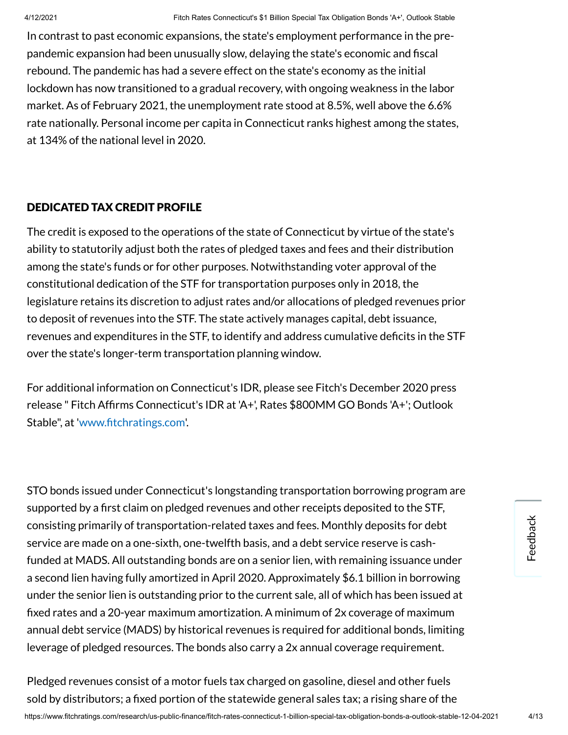In contrast to past economic expansions, the state's employment performance in the prepandemic expansion had been unusually slow, delaying the state's economic and fiscal rebound. The pandemic has had a severe effect on the state's economy as the initial lockdown has now transitioned to a gradual recovery, with ongoing weakness in the labor market. As of February 2021, the unemployment rate stood at 8.5%, well above the 6.6% rate nationally. Personal income per capita in Connecticut ranks highest among the states, at 134% of the national level in 2020.

#### DEDICATED TAX CREDIT PROFILE

The credit is exposed to the operations of the state of Connecticut by virtue of the state's ability to statutorily adjust both the rates of pledged taxes and fees and their distribution among the state's funds or for other purposes. Notwithstanding voter approval of the constitutional dedication of the STF for transportation purposes only in 2018, the legislature retains its discretion to adjust rates and/or allocations of pledged revenues prior to deposit of revenues into the STF. The state actively manages capital, debt issuance, revenues and expenditures in the STF, to identify and address cumulative deficits in the STF over the state's longer-term transportation planning window.

For additional information on Connecticut's IDR, please see Fitch's December 2020 press release " Fitch Afrms Connecticut's IDR at 'A+', Rates \$800MM GO Bonds 'A+'; Outlook Stable", at 'www.fitchratings.com'.

STO bonds issued under Connecticut's longstanding transportation borrowing program are supported by a first claim on pledged revenues and other receipts deposited to the STF, consisting primarily of transportation-related taxes and fees. Monthly deposits for debt service are made on a one-sixth, one-twelfth basis, and a debt service reserve is cashfunded at MADS. All outstanding bonds are on a senior lien, with remaining issuance under a second lien having fully amortized in April 2020. Approximately \$6.1 billion in borrowing under the senior lien is outstanding prior to the current sale, all of which has been issued at fixed rates and a 20-year maximum amortization. A minimum of 2x coverage of maximum annual debt service (MADS) by historical revenues is required for additional bonds, limiting leverage of pledged resources. The bonds also carry a 2x annual coverage requirement.

Pledged revenues consist of a motor fuels tax charged on gasoline, diesel and other fuels sold by distributors; a fixed portion of the statewide general sales tax; a rising share of the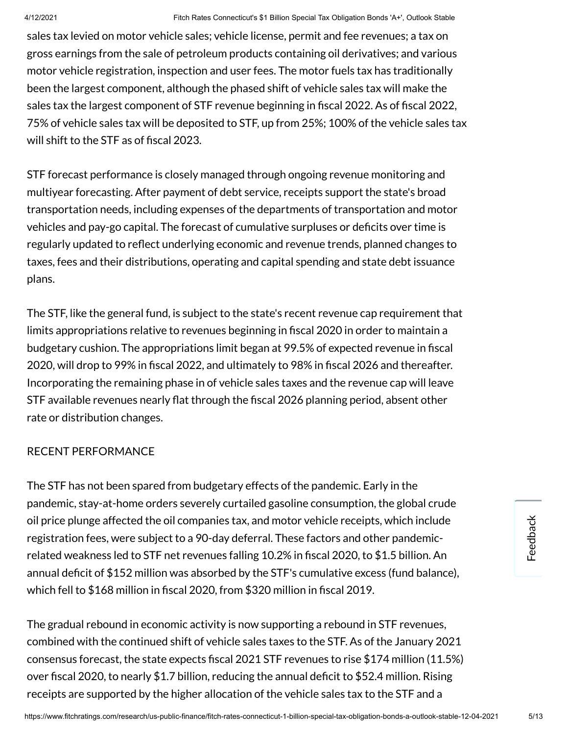sales tax levied on motor vehicle sales; vehicle license, permit and fee revenues; a tax on gross earnings from the sale of petroleum products containing oil derivatives; and various motor vehicle registration, inspection and user fees. The motor fuels tax has traditionally been the largest component, although the phased shift of vehicle sales tax will make the sales tax the largest component of STF revenue beginning in fiscal 2022. As of fiscal 2022, 75% of vehicle sales tax will be deposited to STF, up from 25%; 100% of the vehicle sales tax will shift to the STF as of fiscal 2023.

STF forecast performance is closely managed through ongoing revenue monitoring and multiyear forecasting. After payment of debt service, receipts support the state's broad transportation needs, including expenses of the departments of transportation and motor vehicles and pay-go capital. The forecast of cumulative surpluses or deficits over time is regularly updated to reflect underlying economic and revenue trends, planned changes to taxes, fees and their distributions, operating and capital spending and state debt issuance plans.

The STF, like the general fund, is subject to the state's recent revenue cap requirement that limits appropriations relative to revenues beginning in fiscal 2020 in order to maintain a budgetary cushion. The appropriations limit began at 99.5% of expected revenue in fiscal 2020, will drop to 99% in fiscal 2022, and ultimately to 98% in fiscal 2026 and thereafter. Incorporating the remaining phase in of vehicle sales taxes and the revenue cap will leave STF available revenues nearly flat through the fiscal 2026 planning period, absent other rate or distribution changes.

# RECENT PERFORMANCE

The STF has not been spared from budgetary effects of the pandemic. Early in the pandemic, stay-at-home orders severely curtailed gasoline consumption, the global crude oil price plunge affected the oil companies tax, and motor vehicle receipts, which include registration fees, were subject to a 90-day deferral. These factors and other pandemicrelated weakness led to STF net revenues falling 10.2% in fiscal 2020, to \$1.5 billion. An annual deficit of \$152 million was absorbed by the STF's cumulative excess (fund balance), which fell to \$168 million in fiscal 2020, from \$320 million in fiscal 2019.

The gradual rebound in economic activity is now supporting a rebound in STF revenues, combined with the continued shift of vehicle sales taxes to the STF. As of the January 2021 consensus forecast, the state expects fiscal 2021 STF revenues to rise  $$174$  million (11.5%) over fiscal 2020, to nearly \$1.7 billion, reducing the annual deficit to \$52.4 million. Rising receipts are supported by the higher allocation of the vehicle sales tax to the STF and a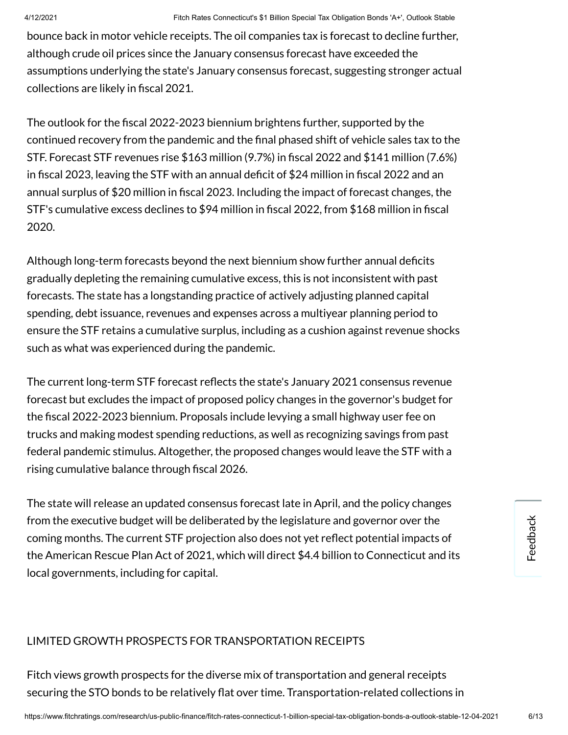bounce back in motor vehicle receipts. The oil companies tax is forecast to decline further, although crude oil prices since the January consensus forecast have exceeded the assumptions underlying the state's January consensus forecast, suggesting stronger actual collections are likely in fiscal 2021.

The outlook for the fiscal 2022-2023 biennium brightens further, supported by the continued recovery from the pandemic and the final phased shift of vehicle sales tax to the STF. Forecast STF revenues rise  $$163$  million (9.7%) in fiscal 2022 and  $$141$  million (7.6%) in fiscal 2023, leaving the STF with an annual deficit of  $$24$  million in fiscal 2022 and an annual surplus of \$20 million in fiscal 2023. Including the impact of forecast changes, the STF's cumulative excess declines to \$94 million in fiscal 2022, from \$168 million in fiscal 2020.

Although long-term forecasts beyond the next biennium show further annual deficits gradually depleting the remaining cumulative excess, this is not inconsistent with past forecasts. The state has a longstanding practice of actively adjusting planned capital spending, debt issuance, revenues and expenses across a multiyear planning period to ensure the STF retains a cumulative surplus, including as a cushion against revenue shocks such as what was experienced during the pandemic.

The current long-term STF forecast reflects the state's January 2021 consensus revenue forecast but excludes the impact of proposed policy changes in the governor's budget for the fiscal 2022-2023 biennium. Proposals include levying a small highway user fee on trucks and making modest spending reductions, as well as recognizing savings from past federal pandemic stimulus. Altogether, the proposed changes would leave the STF with a rising cumulative balance through fiscal 2026.

The state will release an updated consensus forecast late in April, and the policy changes from the executive budget will be deliberated by the legislature and governor over the coming months. The current STF projection also does not yet reflect potential impacts of the American Rescue Plan Act of 2021, which will direct \$4.4 billion to Connecticut and its local governments, including for capital.

# LIMITED GROWTH PROSPECTS FOR TRANSPORTATION RECEIPTS

Fitch views growth prospects for the diverse mix of transportation and general receipts securing the STO bonds to be relatively flat over time. Transportation-related collections in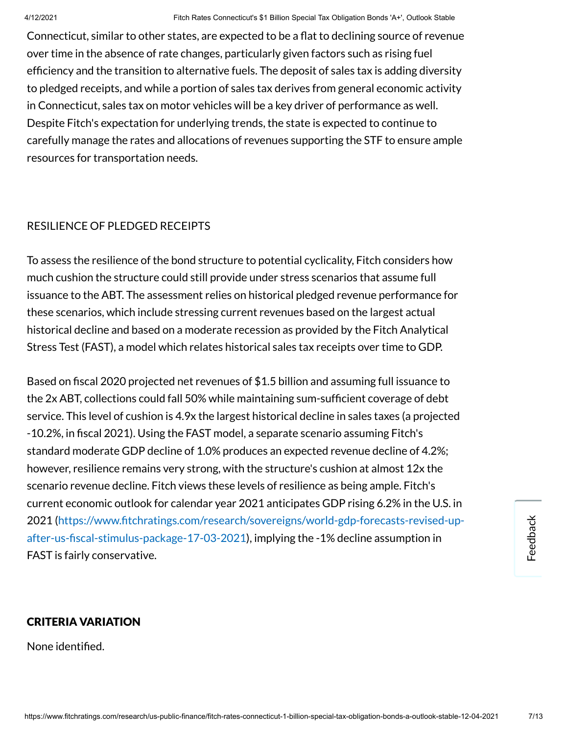Connecticut, similar to other states, are expected to be a flat to declining source of revenue over time in the absence of rate changes, particularly given factors such as rising fuel efficiency and the transition to alternative fuels. The deposit of sales tax is adding diversity to pledged receipts, and while a portion of sales tax derives from general economic activity in Connecticut, sales tax on motor vehicles will be a key driver of performance as well. Despite Fitch's expectation for underlying trends, the state is expected to continue to carefully manage the rates and allocations of revenues supporting the STF to ensure ample resources for transportation needs.

# RESILIENCE OF PLEDGED RECEIPTS

To assess the resilience of the bond structure to potential cyclicality, Fitch considers how much cushion the structure could still provide under stress scenarios that assume full issuance to the ABT. The assessment relies on historical pledged revenue performance for these scenarios, which include stressing current revenues based on the largest actual historical decline and based on a moderate recession as provided by the Fitch Analytical Stress Test (FAST), a model which relates historical sales tax receipts over time to GDP.

Based on fiscal 2020 projected net revenues of \$1.5 billion and assuming full issuance to the 2x ABT, collections could fall 50% while maintaining sum-sufficient coverage of debt service. This level of cushion is 4.9x the largest historical decline in sales taxes (a projected -10.2%, in fiscal 2021). Using the FAST model, a separate scenario assuming Fitch's standard moderate GDP decline of 1.0% produces an expected revenue decline of 4.2%; however, resilience remains very strong, with the structure's cushion at almost 12x the scenario revenue decline. Fitch views these levels of resilience as being ample. Fitch's current economic outlook for calendar year 2021 anticipates GDP rising 6.2% in the U.S. in 2021 (https://www.fitchratings.com/research/sovereigns/world-gdp-forecasts-revised-upafter-us-fiscal-stimulus-package-17-03-2021), implying the -1% decline assumption in FAST is fairly conservative.

# CRITERIA VARIATION

None identified.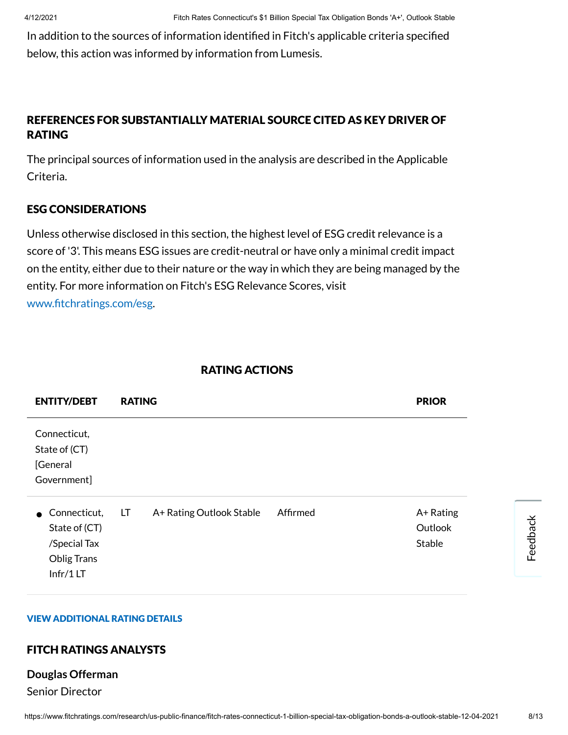In addition to the sources of information identified in Fitch's applicable criteria specified below, this action was informed by information from Lumesis.

# REFERENCES FOR SUBSTANTIALLY MATERIAL SOURCE CITED AS KEY DRIVER OF RATING

The principal sources of information used in the analysis are described in the Applicable Criteria.

# ESG CONSIDERATIONS

Unless otherwise disclosed in this section, the highest level of ESG credit relevance is a score of '3'. This means ESG issues are credit-neutral or have only a minimal credit impact on the entity, either due to their nature or the way in which they are being managed by the entity. For more information on Fitch's ESG Relevance Scores, visit www.fitchratings.com/esg.

# RATING ACTIONS

| <b>ENTITY/DEBT</b>                                                               | <b>RATING</b> |                          |          | <b>PRIOR</b>                   |
|----------------------------------------------------------------------------------|---------------|--------------------------|----------|--------------------------------|
| Connecticut,<br>State of (CT)<br>[General<br>Government]                         |               |                          |          |                                |
| Connecticut,<br>$\bullet$<br>State of (CT)<br>/Special Tax<br><b>Oblig Trans</b> | LT.           | A+ Rating Outlook Stable | Affirmed | A+ Rating<br>Outlook<br>Stable |

#### VIEW ADDITIONAL RATING DETAILS

#### FITCH RATINGS ANALYSTS

# **Douglas Offerman**

Infr/1 LT

Senior Director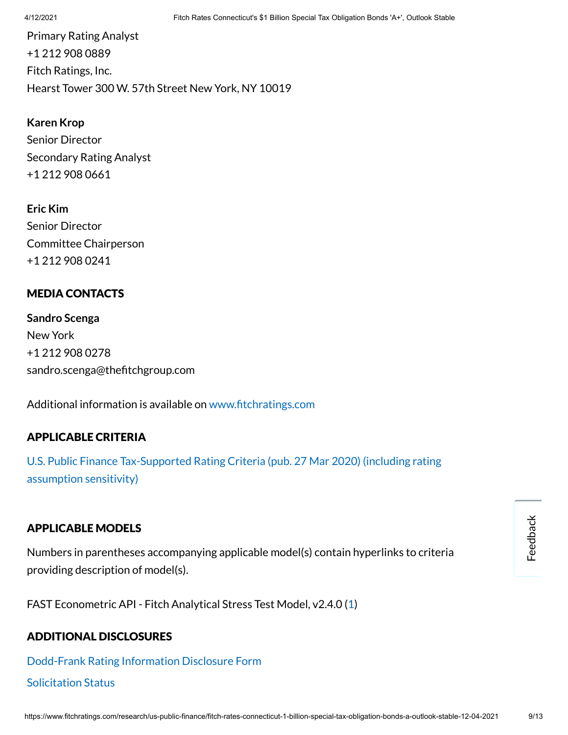Primary Rating Analyst +1 212 908 0889 Fitch Ratings, Inc. Hearst Tower 300 W. 57th Street New York, NY 10019

**Karen Krop** Senior Director Secondary Rating Analyst +1 212 908 0661

**Eric Kim** Senior Director Committee Chairperson +1 212 908 0241

# MEDIA CONTACTS

**Sandro Scenga** New York +1 212 908 0278 sandro.scenga@thefitchgroup.com

Additional information is available on www.fitchratings.com

# APPLICABLE CRITERIA

U.S. Public Finance [Tax-Supported Rating](https://www.fitchratings.com/research/us-public-finance/us-public-finance-tax-supported-rating-criteria-27-03-2020) Criteria (pub. 27 Mar 2020) (including rating assumption sensitivity)

# APPLICABLE MODELS

Numbers in parentheses accompanying applicable model(s) contain hyperlinks to criteria providing description of model(s).

FAST Econometric API - Fitch Analytical Stress Test Model, v2.4.0 [\(1](https://www.fitchratings.com/site/re/970025))

# ADDITIONAL DISCLOSURES

[Dodd-Frank](https://www.fitchratings.com/research/us-public-finance/fitch-rates-connecticut-1-billion-special-tax-obligation-bonds-a-outlook-stable-12-04-2021/dodd-frank-disclosure) Rating Information Disclosure Form

#### Solicitation Status

Feedback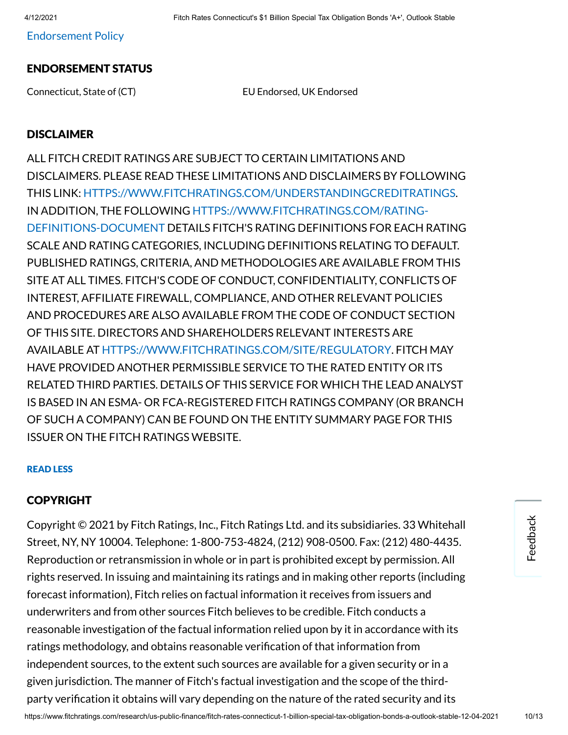[Endorsement](#page-11-0) Policy

# ENDORSEMENT STATUS

Connecticut, State of (CT) EU Endorsed, UK Endorsed

# DISCLAIMER

ALL FITCH CREDIT RATINGS ARE SUBJECT TO CERTAIN LIMITATIONS AND DISCLAIMERS. PLEASE READ THESE LIMITATIONS AND DISCLAIMERS BY FOLLOWING THIS LINK: [HTTPS://WWW.FITCHRATINGS.COM/UNDERSTANDINGCREDITRATINGS](https://www.fitchratings.com/UNDERSTANDINGCREDITRATINGS). IN ADDITION, THE FOLLOWING [HTTPS://WWW.FITCHRATINGS.COM/RATING-](https://www.fitchratings.com/rating-definitions-document)DEFINITIONS-DOCUMENT DETAILS FITCH'S RATING DEFINITIONS FOR EACH RATING SCALE AND RATING CATEGORIES, INCLUDING DEFINITIONS RELATING TO DEFAULT. PUBLISHED RATINGS, CRITERIA, AND METHODOLOGIES ARE AVAILABLE FROM THIS SITE AT ALL TIMES. FITCH'S CODE OF CONDUCT, CONFIDENTIALITY, CONFLICTS OF INTEREST, AFFILIATE FIREWALL, COMPLIANCE, AND OTHER RELEVANT POLICIES AND PROCEDURES ARE ALSO AVAILABLE FROM THE CODE OF CONDUCT SECTION OF THIS SITE. DIRECTORS AND SHAREHOLDERS RELEVANT INTERESTS ARE AVAILABLE AT [HTTPS://WWW.FITCHRATINGS.COM/SITE/REGULATORY](https://www.fitchratings.com/site/regulatory). FITCH MAY HAVE PROVIDED ANOTHER PERMISSIBLE SERVICE TO THE RATED ENTITY OR ITS RELATED THIRD PARTIES. DETAILS OF THIS SERVICE FOR WHICH THE LEAD ANALYST IS BASED IN AN ESMA- OR FCA-REGISTERED FITCH RATINGS COMPANY (OR BRANCH OF SUCH A COMPANY) CAN BE FOUND ON THE ENTITY SUMMARY PAGE FOR THIS ISSUER ON THE FITCH RATINGS WEBSITE.

#### READ LESS

# COPYRIGHT

Copyright © 2021 by Fitch Ratings, Inc., Fitch Ratings Ltd. and its subsidiaries. 33 Whitehall Street, NY, NY 10004. Telephone: 1-800-753-4824, (212) 908-0500. Fax: (212) 480-4435. Reproduction or retransmission in whole or in part is prohibited except by permission. All rights reserved. In issuing and maintaining its ratings and in making other reports (including forecast information), Fitch relies on factual information it receives from issuers and underwriters and from other sources Fitch believes to be credible. Fitch conducts a reasonable investigation of the factual information relied upon by it in accordance with its ratings methodology, and obtains reasonable verification of that information from independent sources, to the extent such sources are available for a given security or in a given jurisdiction. The manner of Fitch's factual investigation and the scope of the thirdparty verification it obtains will vary depending on the nature of the rated security and its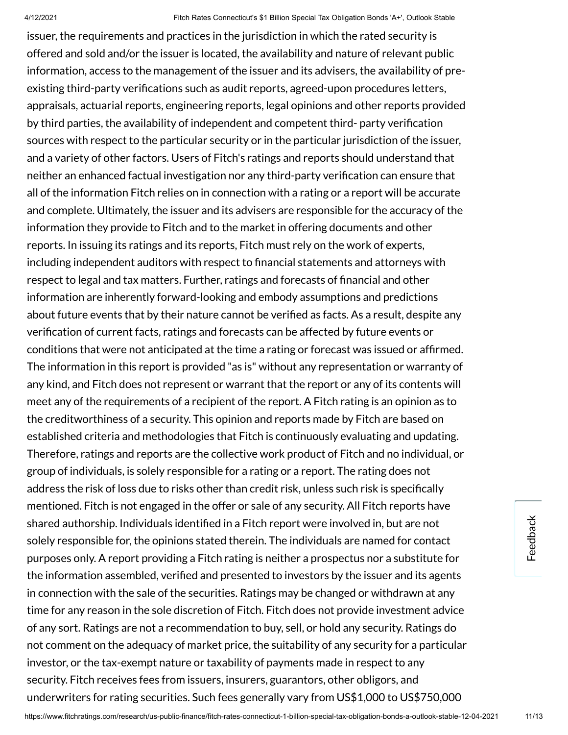issuer, the requirements and practices in the jurisdiction in which the rated security is offered and sold and/or the issuer is located, the availability and nature of relevant public information, access to the management of the issuer and its advisers, the availability of preexisting third-party verifications such as audit reports, agreed-upon procedures letters, appraisals, actuarial reports, engineering reports, legal opinions and other reports provided by third parties, the availability of independent and competent third- party verification sources with respect to the particular security or in the particular jurisdiction of the issuer, and a variety of other factors. Users of Fitch's ratings and reports should understand that neither an enhanced factual investigation nor any third-party verification can ensure that all of the information Fitch relies on in connection with a rating or a report will be accurate and complete. Ultimately, the issuer and its advisers are responsible for the accuracy of the information they provide to Fitch and to the market in offering documents and other reports. In issuing its ratings and its reports, Fitch must rely on the work of experts, including independent auditors with respect to financial statements and attorneys with respect to legal and tax matters. Further, ratings and forecasts of financial and other information are inherently forward-looking and embody assumptions and predictions about future events that by their nature cannot be verified as facts. As a result, despite any verification of current facts, ratings and forecasts can be affected by future events or conditions that were not anticipated at the time a rating or forecast was issued or afrmed. The information in this report is provided "as is" without any representation or warranty of any kind, and Fitch does not represent or warrant that the report or any of its contents will meet any of the requirements of a recipient of the report. A Fitch rating is an opinion as to the creditworthiness of a security. This opinion and reports made by Fitch are based on established criteria and methodologies that Fitch is continuously evaluating and updating. Therefore, ratings and reports are the collective work product of Fitch and no individual, or group of individuals, is solely responsible for a rating or a report. The rating does not address the risk of loss due to risks other than credit risk, unless such risk is specifically mentioned. Fitch is not engaged in the offer or sale of any security. All Fitch reports have shared authorship. Individuals identified in a Fitch report were involved in, but are not solely responsible for, the opinions stated therein. The individuals are named for contact purposes only. A report providing a Fitch rating is neither a prospectus nor a substitute for the information assembled, verified and presented to investors by the issuer and its agents in connection with the sale of the securities. Ratings may be changed or withdrawn at any time for any reason in the sole discretion of Fitch. Fitch does not provide investment advice of any sort. Ratings are not a recommendation to buy, sell, or hold any security. Ratings do not comment on the adequacy of market price, the suitability of any security for a particular investor, or the tax-exempt nature or taxability of payments made in respect to any security. Fitch receives fees from issuers, insurers, guarantors, other obligors, and underwriters for rating securities. Such fees generally vary from US\$1,000 to US\$750,000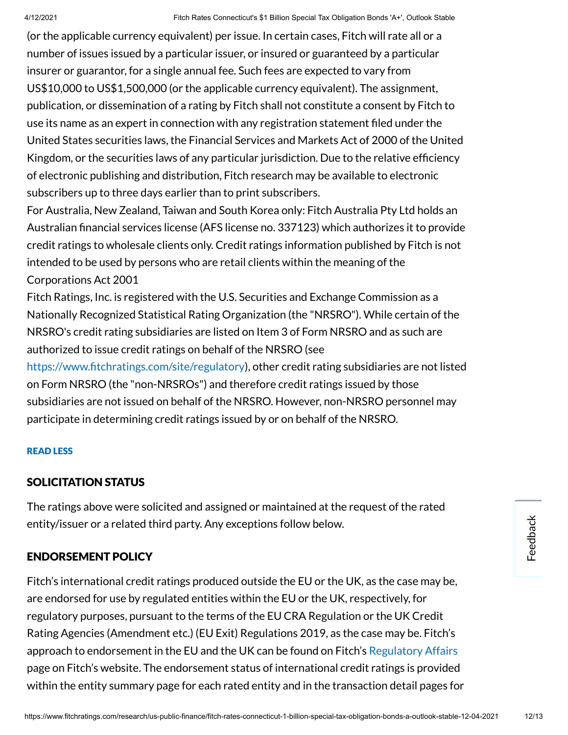(or the applicable currency equivalent) per issue. In certain cases, Fitch will rate all or a number of issues issued by a particular issuer, or insured or guaranteed by a particular insurer or guarantor, for a single annual fee. Such fees are expected to vary from US\$10,000 to US\$1,500,000 (or the applicable currency equivalent). The assignment, publication, or dissemination of a rating by Fitch shall not constitute a consent by Fitch to use its name as an expert in connection with any registration statement filed under the United States securities laws, the Financial Services and Markets Act of 2000 of the United Kingdom, or the securities laws of any particular jurisdiction. Due to the relative efficiency of electronic publishing and distribution, Fitch research may be available to electronic subscribers up to three days earlier than to print subscribers.

For Australia, New Zealand, Taiwan and South Korea only: Fitch Australia Pty Ltd holds an Australian financial services license (AFS license no. 337123) which authorizes it to provide credit ratings to wholesale clients only. Credit ratings information published by Fitch is not intended to be used by persons who are retail clients within the meaning of the Corporations Act 2001

Fitch Ratings, Inc. is registered with the U.S. Securities and Exchange Commission as a Nationally Recognized Statistical Rating Organization (the "NRSRO"). While certain of the NRSRO's credit rating subsidiaries are listed on Item 3 of Form NRSRO and as such are authorized to issue credit ratings on behalf of the NRSRO (see

https://www.fitchratings.com/site/regulatory), other credit rating subsidiaries are not listed on Form NRSRO (the "non-NRSROs") and therefore credit ratings issued by those subsidiaries are not issued on behalf of the NRSRO. However, non-NRSRO personnel may participate in determining credit ratings issued by or on behalf of the NRSRO.

#### READ LESS

# SOLICITATION STATUS

The ratings above were solicited and assigned or maintained at the request of the rated entity/issuer or a related third party. Any exceptions follow below.

# <span id="page-11-0"></span>ENDORSEMENT POLICY

Fitch's international credit ratings produced outside the EU or the UK, as the case may be, are endorsed for use by regulated entities within the EU or the UK, respectively, for regulatory purposes, pursuant to the terms of the EU CRA Regulation or the UK Credit Rating Agencies (Amendment etc.) (EU Exit) Regulations 2019, as the case may be. Fitch's approach to endorsement in the EU and the UK can be found on Fitch's [Regulatory](https://www.fitchratings.com/regulatory) Affairs page on Fitch's website. The endorsement status of international credit ratings is provided within the entity summary page for each rated entity and in the transaction detail pages for